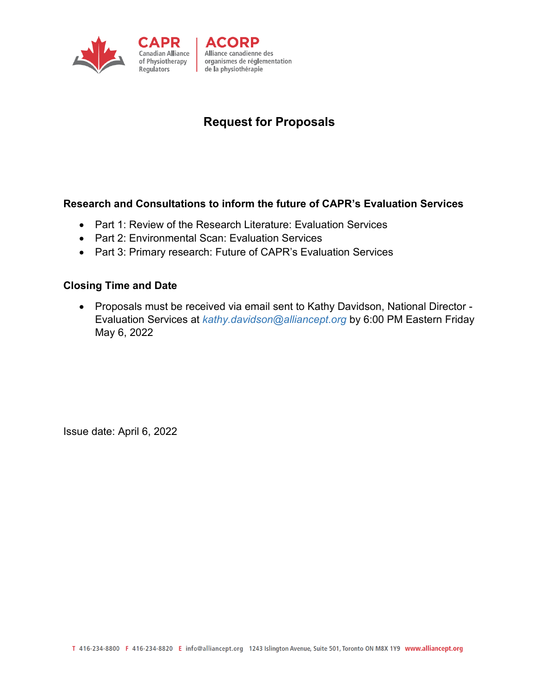

# **Request for Proposals**

#### **Research and Consultations to inform the future of CAPR's Evaluation Services**

• Part 1: Review of the Research Literature: Evaluation Services

ACORP

de la physiothérapie

Alliance canadienne des

organismes de réglementation

- Part 2: Environmental Scan: Evaluation Services
- Part 3: Primary research: Future of CAPR's Evaluation Services

#### **Closing Time and Date**

• Proposals must be received via email sent to Kathy Davidson, National Director - Evaluation Services at *[kathy.davidson@alliancept.org](mailto:kathy.davidson@alliancept.org)* by 6:00 PM Eastern Friday May 6, 2022

Issue date: April 6, 2022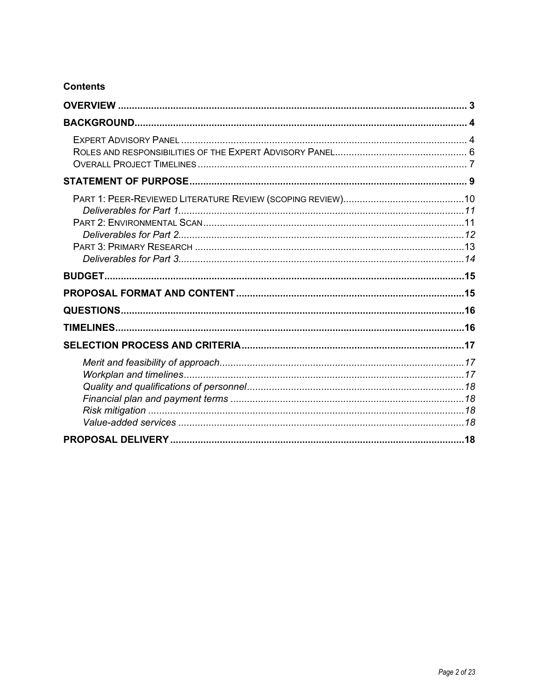### **Contents**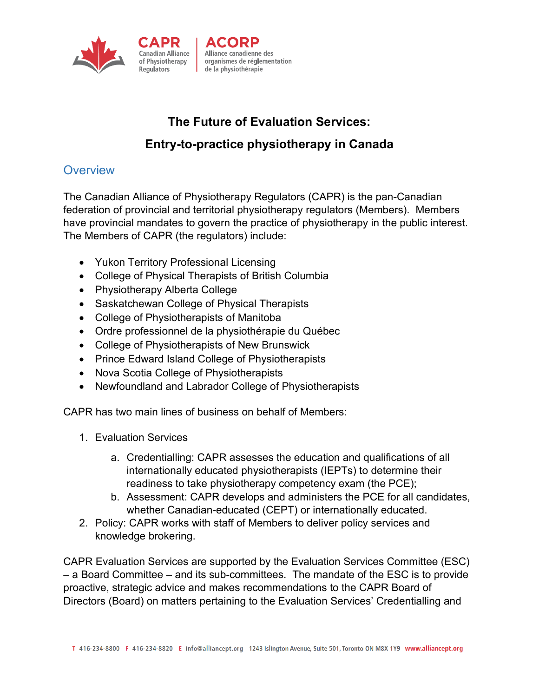

# **The Future of Evaluation Services: Entry-to-practice physiotherapy in Canada**

# **Overview**

The Canadian Alliance of Physiotherapy Regulators (CAPR) is the pan-Canadian federation of provincial and territorial physiotherapy regulators (Members). Members have provincial mandates to govern the practice of physiotherapy in the public interest. The Members of CAPR (the regulators) include:

- Yukon Territory Professional Licensing
- College of Physical Therapists of British Columbia
- Physiotherapy Alberta College
- Saskatchewan College of Physical Therapists
- College of Physiotherapists of Manitoba
- Ordre professionnel de la physiothérapie du Québec
- College of Physiotherapists of New Brunswick
- Prince Edward Island College of Physiotherapists
- Nova Scotia College of Physiotherapists
- Newfoundland and Labrador College of Physiotherapists

CAPR has two main lines of business on behalf of Members:

- 1. Evaluation Services
	- a. Credentialling: CAPR assesses the education and qualifications of all internationally educated physiotherapists (IEPTs) to determine their readiness to take physiotherapy competency exam (the PCE);
	- b. Assessment: CAPR develops and administers the PCE for all candidates, whether Canadian-educated (CEPT) or internationally educated.
- 2. Policy: CAPR works with staff of Members to deliver policy services and knowledge brokering.

CAPR Evaluation Services are supported by the Evaluation Services Committee (ESC) – a Board Committee – and its sub-committees. The mandate of the ESC is to provide proactive, strategic advice and makes recommendations to the CAPR Board of Directors (Board) on matters pertaining to the Evaluation Services' Credentialling and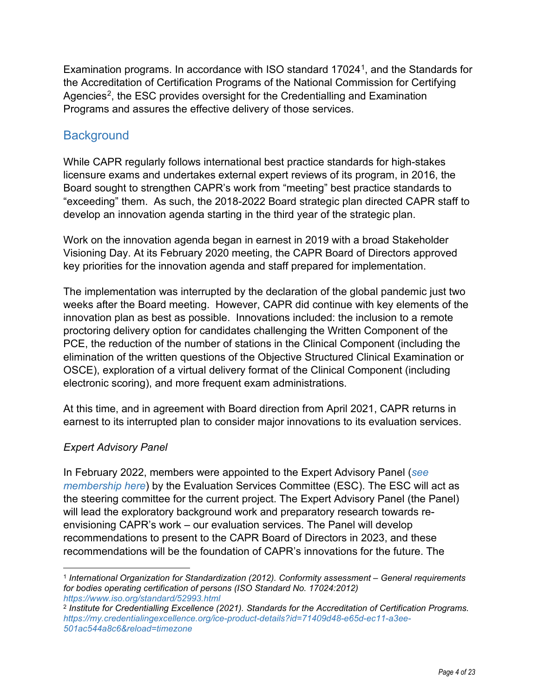Examination programs. In accordance with ISO standard 17024<sup>1</sup>, and the Standards for the Accreditation of Certification Programs of the National Commission for Certifying Agencies<sup>[2](#page-3-1)</sup>, the ESC provides oversight for the Credentialling and Examination Programs and assures the effective delivery of those services.

### **Background**

While CAPR regularly follows international best practice standards for high-stakes licensure exams and undertakes external expert reviews of its program, in 2016, the Board sought to strengthen CAPR's work from "meeting" best practice standards to "exceeding" them. As such, the 2018-2022 Board strategic plan directed CAPR staff to develop an innovation agenda starting in the third year of the strategic plan.

Work on the innovation agenda began in earnest in 2019 with a broad Stakeholder Visioning Day. At its February 2020 meeting, the CAPR Board of Directors approved key priorities for the innovation agenda and staff prepared for implementation.

The implementation was interrupted by the declaration of the global pandemic just two weeks after the Board meeting. However, CAPR did continue with key elements of the innovation plan as best as possible. Innovations included: the inclusion to a remote proctoring delivery option for candidates challenging the Written Component of the PCE, the reduction of the number of stations in the Clinical Component (including the elimination of the written questions of the Objective Structured Clinical Examination or OSCE), exploration of a virtual delivery format of the Clinical Component (including electronic scoring), and more frequent exam administrations.

At this time, and in agreement with Board direction from April 2021, CAPR returns in earnest to its interrupted plan to consider major innovations to its evaluation services.

### *Expert Advisory Panel*

In February 2022, members were appointed to the Expert Advisory Panel (*[see](https://www.alliancept.org/about-capr/innovation-agenda/expert-advisory-panel/)  [membership here](https://www.alliancept.org/about-capr/innovation-agenda/expert-advisory-panel/)*) by the Evaluation Services Committee (ESC). The ESC will act as the steering committee for the current project. The Expert Advisory Panel (the Panel) will lead the exploratory background work and preparatory research towards reenvisioning CAPR's work – our evaluation services. The Panel will develop recommendations to present to the CAPR Board of Directors in 2023, and these recommendations will be the foundation of CAPR's innovations for the future. The

<span id="page-3-0"></span><sup>1</sup> *International Organization for Standardization (2012). Conformity assessment – General requirements for bodies operating certification of persons (ISO Standard No. 17024:2012) <https://www.iso.org/standard/52993.html>*

<span id="page-3-1"></span><sup>2</sup> *Institute for Credentialling Excellence (2021). Standards for the Accreditation of Certification Programs. [https://my.credentialingexcellence.org/ice-product-details?id=71409d48-e65d-ec11-a3ee-](https://my.credentialingexcellence.org/ice-product-details?id=71409d48-e65d-ec11-a3ee-501ac544a8c6&reload=timezone)[501ac544a8c6&reload=timezone](https://my.credentialingexcellence.org/ice-product-details?id=71409d48-e65d-ec11-a3ee-501ac544a8c6&reload=timezone)*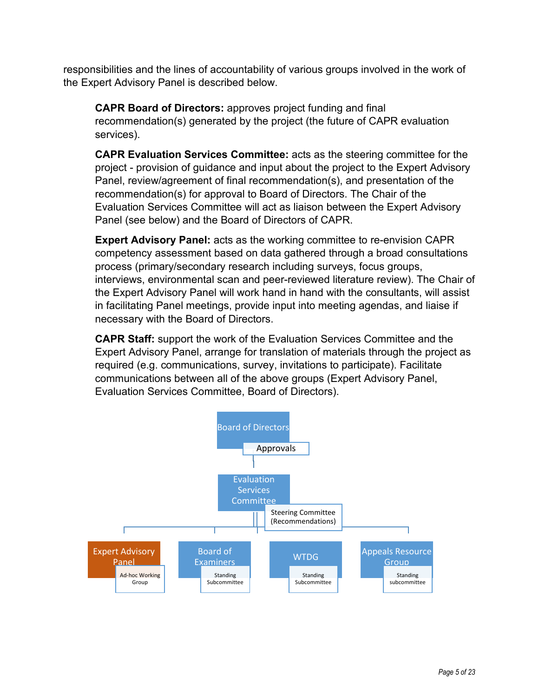responsibilities and the lines of accountability of various groups involved in the work of the Expert Advisory Panel is described below.

**CAPR Board of Directors:** approves project funding and final recommendation(s) generated by the project (the future of CAPR evaluation services).

**CAPR Evaluation Services Committee:** acts as the steering committee for the project - provision of guidance and input about the project to the Expert Advisory Panel, review/agreement of final recommendation(s), and presentation of the recommendation(s) for approval to Board of Directors. The Chair of the Evaluation Services Committee will act as liaison between the Expert Advisory Panel (see below) and the Board of Directors of CAPR.

**Expert Advisory Panel:** acts as the working committee to re-envision CAPR competency assessment based on data gathered through a broad consultations process (primary/secondary research including surveys, focus groups, interviews, environmental scan and peer-reviewed literature review). The Chair of the Expert Advisory Panel will work hand in hand with the consultants, will assist in facilitating Panel meetings, provide input into meeting agendas, and liaise if necessary with the Board of Directors.

**CAPR Staff:** support the work of the Evaluation Services Committee and the Expert Advisory Panel, arrange for translation of materials through the project as required (e.g. communications, survey, invitations to participate). Facilitate communications between all of the above groups (Expert Advisory Panel, Evaluation Services Committee, Board of Directors).

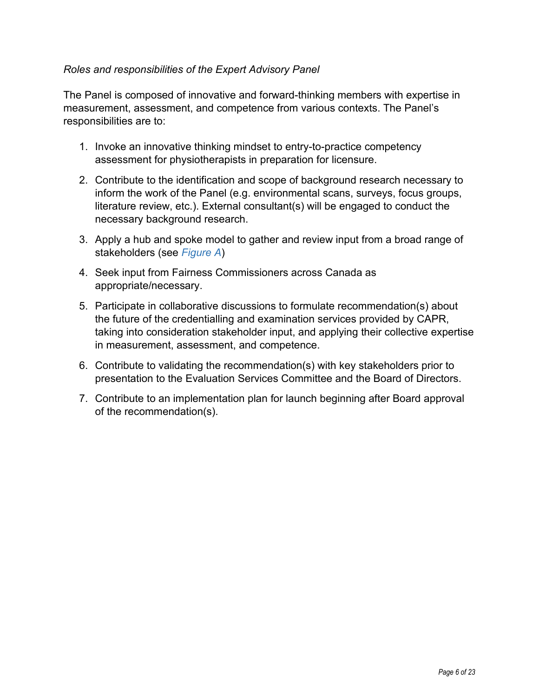### *Roles and responsibilities of the Expert Advisory Panel*

The Panel is composed of innovative and forward-thinking members with expertise in measurement, assessment, and competence from various contexts. The Panel's responsibilities are to:

- 1. Invoke an innovative thinking mindset to entry-to-practice competency assessment for physiotherapists in preparation for licensure.
- 2. Contribute to the identification and scope of background research necessary to inform the work of the Panel (e.g. environmental scans, surveys, focus groups, literature review, etc.). External consultant(s) will be engaged to conduct the necessary background research.
- 3. Apply a hub and spoke model to gather and review input from a broad range of stakeholders (see *[Figure](#page-6-0) A*)
- 4. Seek input from Fairness Commissioners across Canada as appropriate/necessary.
- 5. Participate in collaborative discussions to formulate recommendation(s) about the future of the credentialling and examination services provided by CAPR, taking into consideration stakeholder input, and applying their collective expertise in measurement, assessment, and competence.
- 6. Contribute to validating the recommendation(s) with key stakeholders prior to presentation to the Evaluation Services Committee and the Board of Directors.
- 7. Contribute to an implementation plan for launch beginning after Board approval of the recommendation(s).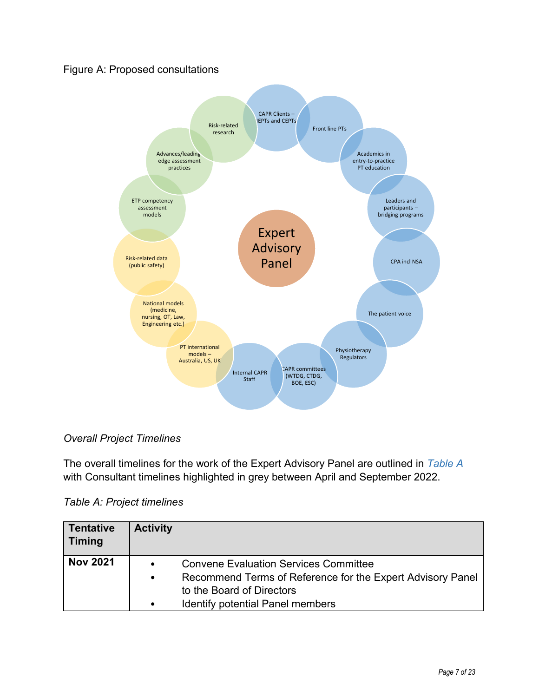### Figure A: Proposed consultations



### <span id="page-6-0"></span>*Overall Project Timelines*

The overall timelines for the work of the Expert Advisory Panel are outlined in *[Table A](#page-6-1)* with Consultant timelines highlighted in grey between April and September 2022.

<span id="page-6-1"></span>*Table A: Project timelines*

| <b>Tentative</b><br><b>Timing</b> | <b>Activity</b> |                                                            |
|-----------------------------------|-----------------|------------------------------------------------------------|
| <b>Nov 2021</b>                   | $\bullet$       | <b>Convene Evaluation Services Committee</b>               |
|                                   | $\bullet$       | Recommend Terms of Reference for the Expert Advisory Panel |
|                                   |                 | to the Board of Directors                                  |
|                                   |                 | <b>Identify potential Panel members</b>                    |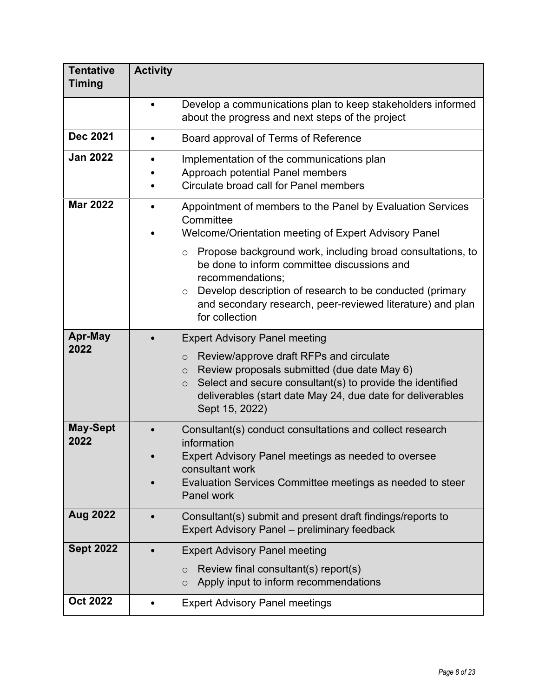| <b>Tentative</b><br><b>Timing</b> | <b>Activity</b> |                                                                                                                                                                                                                                                                                                                                                                                                                                 |
|-----------------------------------|-----------------|---------------------------------------------------------------------------------------------------------------------------------------------------------------------------------------------------------------------------------------------------------------------------------------------------------------------------------------------------------------------------------------------------------------------------------|
|                                   |                 | Develop a communications plan to keep stakeholders informed<br>about the progress and next steps of the project                                                                                                                                                                                                                                                                                                                 |
| <b>Dec 2021</b>                   |                 | Board approval of Terms of Reference                                                                                                                                                                                                                                                                                                                                                                                            |
| <b>Jan 2022</b>                   |                 | Implementation of the communications plan<br>Approach potential Panel members<br>Circulate broad call for Panel members                                                                                                                                                                                                                                                                                                         |
| <b>Mar 2022</b>                   |                 | Appointment of members to the Panel by Evaluation Services<br>Committee<br>Welcome/Orientation meeting of Expert Advisory Panel<br>$\circ$ Propose background work, including broad consultations, to<br>be done to inform committee discussions and<br>recommendations;<br>Develop description of research to be conducted (primary<br>$\circ$<br>and secondary research, peer-reviewed literature) and plan<br>for collection |
| Apr-May<br>2022                   |                 | <b>Expert Advisory Panel meeting</b><br>Review/approve draft RFPs and circulate<br>$\circ$<br>Review proposals submitted (due date May 6)<br>$\circ$<br>Select and secure consultant(s) to provide the identified<br>$\circ$<br>deliverables (start date May 24, due date for deliverables<br>Sept 15, 2022)                                                                                                                    |
| <b>May-Sept</b><br>2022           |                 | Consultant(s) conduct consultations and collect research<br>information<br>Expert Advisory Panel meetings as needed to oversee<br>consultant work<br>Evaluation Services Committee meetings as needed to steer<br>Panel work                                                                                                                                                                                                    |
| <b>Aug 2022</b>                   |                 | Consultant(s) submit and present draft findings/reports to<br><b>Expert Advisory Panel – preliminary feedback</b>                                                                                                                                                                                                                                                                                                               |
| <b>Sept 2022</b>                  |                 | <b>Expert Advisory Panel meeting</b><br>Review final consultant(s) report(s)<br>$\circ$<br>Apply input to inform recommendations<br>$\circ$                                                                                                                                                                                                                                                                                     |
| <b>Oct 2022</b>                   |                 | <b>Expert Advisory Panel meetings</b>                                                                                                                                                                                                                                                                                                                                                                                           |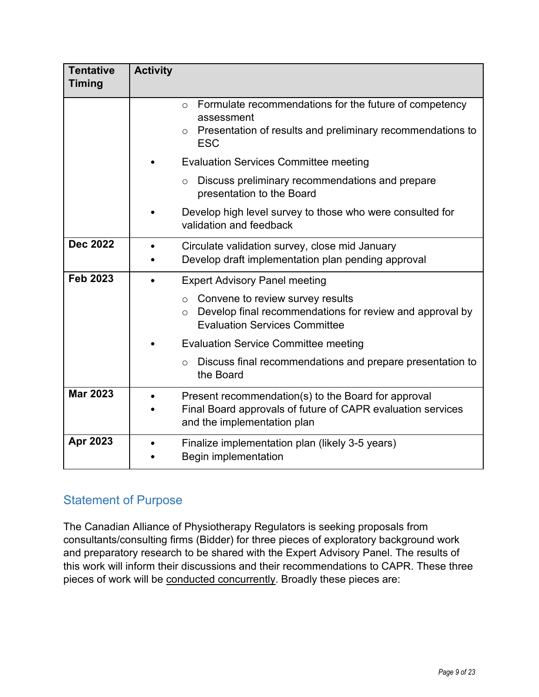| <b>Tentative</b><br><b>Timing</b> | <b>Activity</b>                                                                                                                                                      |
|-----------------------------------|----------------------------------------------------------------------------------------------------------------------------------------------------------------------|
|                                   | Formulate recommendations for the future of competency<br>$\Omega$<br>assessment<br>$\circ$ Presentation of results and preliminary recommendations to<br><b>ESC</b> |
|                                   | <b>Evaluation Services Committee meeting</b>                                                                                                                         |
|                                   | Discuss preliminary recommendations and prepare<br>$\circ$<br>presentation to the Board                                                                              |
|                                   | Develop high level survey to those who were consulted for<br>validation and feedback                                                                                 |
| <b>Dec 2022</b>                   | Circulate validation survey, close mid January<br>Develop draft implementation plan pending approval                                                                 |
| <b>Feb 2023</b>                   | <b>Expert Advisory Panel meeting</b>                                                                                                                                 |
|                                   | Convene to review survey results<br>$\circ$<br>Develop final recommendations for review and approval by<br>$\circ$<br><b>Evaluation Services Committee</b>           |
|                                   | <b>Evaluation Service Committee meeting</b>                                                                                                                          |
|                                   | Discuss final recommendations and prepare presentation to<br>$\circ$<br>the Board                                                                                    |
| <b>Mar 2023</b>                   | Present recommendation(s) to the Board for approval<br>Final Board approvals of future of CAPR evaluation services<br>and the implementation plan                    |
| Apr 2023                          | Finalize implementation plan (likely 3-5 years)<br><b>Begin implementation</b>                                                                                       |

# Statement of Purpose

The Canadian Alliance of Physiotherapy Regulators is seeking proposals from consultants/consulting firms (Bidder) for three pieces of exploratory background work and preparatory research to be shared with the Expert Advisory Panel. The results of this work will inform their discussions and their recommendations to CAPR. These three pieces of work will be conducted concurrently. Broadly these pieces are: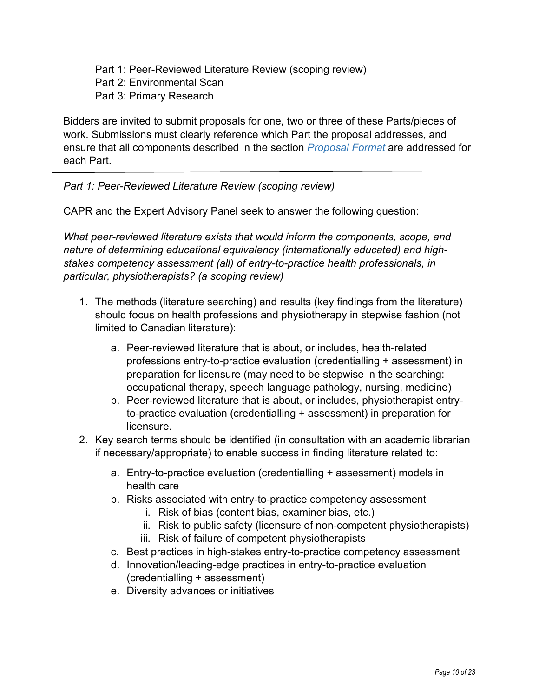Part 1: Peer-Reviewed Literature Review (scoping review) Part 2: Environmental Scan Part 3: Primary Research

Bidders are invited to submit proposals for one, two or three of these Parts/pieces of work. Submissions must clearly reference which Part the proposal addresses, and ensure that all components described in the section *[Proposal Format](#page-14-0)* are addressed for each Part.

*Part 1: Peer-Reviewed Literature Review (scoping review)*

CAPR and the Expert Advisory Panel seek to answer the following question:

*What peer-reviewed literature exists that would inform the components, scope, and nature of determining educational equivalency (internationally educated) and highstakes competency assessment (all) of entry-to-practice health professionals, in particular, physiotherapists? (a scoping review)*

- 1. The methods (literature searching) and results (key findings from the literature) should focus on health professions and physiotherapy in stepwise fashion (not limited to Canadian literature):
	- a. Peer-reviewed literature that is about, or includes, health-related professions entry-to-practice evaluation (credentialling + assessment) in preparation for licensure (may need to be stepwise in the searching: occupational therapy, speech language pathology, nursing, medicine)
	- b. Peer-reviewed literature that is about, or includes, physiotherapist entryto-practice evaluation (credentialling + assessment) in preparation for licensure.
- 2. Key search terms should be identified (in consultation with an academic librarian if necessary/appropriate) to enable success in finding literature related to:
	- a. Entry-to-practice evaluation (credentialling + assessment) models in health care
	- b. Risks associated with entry-to-practice competency assessment
		- i. Risk of bias (content bias, examiner bias, etc.)
		- ii. Risk to public safety (licensure of non-competent physiotherapists)
		- iii. Risk of failure of competent physiotherapists
	- c. Best practices in high-stakes entry-to-practice competency assessment
	- d. Innovation/leading-edge practices in entry-to-practice evaluation (credentialling + assessment)
	- e. Diversity advances or initiatives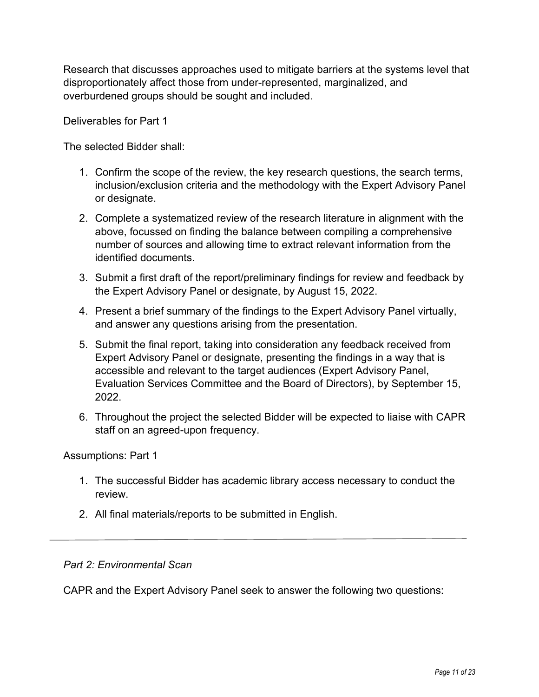Research that discusses approaches used to mitigate barriers at the systems level that disproportionately affect those from under-represented, marginalized, and overburdened groups should be sought and included.

Deliverables for Part 1

The selected Bidder shall:

- 1. Confirm the scope of the review, the key research questions, the search terms, inclusion/exclusion criteria and the methodology with the Expert Advisory Panel or designate.
- 2. Complete a systematized review of the research literature in alignment with the above, focussed on finding the balance between compiling a comprehensive number of sources and allowing time to extract relevant information from the identified documents.
- 3. Submit a first draft of the report/preliminary findings for review and feedback by the Expert Advisory Panel or designate, by August 15, 2022.
- 4. Present a brief summary of the findings to the Expert Advisory Panel virtually, and answer any questions arising from the presentation.
- 5. Submit the final report, taking into consideration any feedback received from Expert Advisory Panel or designate, presenting the findings in a way that is accessible and relevant to the target audiences (Expert Advisory Panel, Evaluation Services Committee and the Board of Directors), by September 15, 2022.
- 6. Throughout the project the selected Bidder will be expected to liaise with CAPR staff on an agreed-upon frequency.

Assumptions: Part 1

- 1. The successful Bidder has academic library access necessary to conduct the review.
- 2. All final materials/reports to be submitted in English.

#### *Part 2: Environmental Scan*

CAPR and the Expert Advisory Panel seek to answer the following two questions: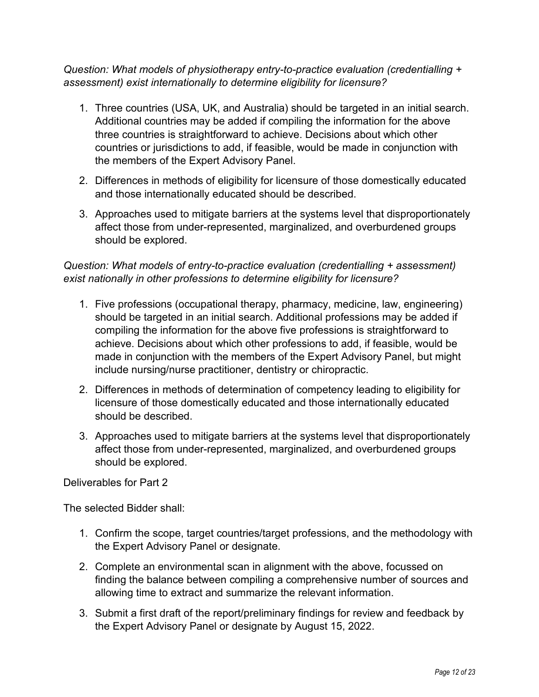*Question: What models of physiotherapy entry-to-practice evaluation (credentialling + assessment) exist internationally to determine eligibility for licensure?* 

- 1. Three countries (USA, UK, and Australia) should be targeted in an initial search. Additional countries may be added if compiling the information for the above three countries is straightforward to achieve. Decisions about which other countries or jurisdictions to add, if feasible, would be made in conjunction with the members of the Expert Advisory Panel.
- 2. Differences in methods of eligibility for licensure of those domestically educated and those internationally educated should be described.
- 3. Approaches used to mitigate barriers at the systems level that disproportionately affect those from under-represented, marginalized, and overburdened groups should be explored.

### *Question: What models of entry-to-practice evaluation (credentialling + assessment) exist nationally in other professions to determine eligibility for licensure?*

- 1. Five professions (occupational therapy, pharmacy, medicine, law, engineering) should be targeted in an initial search. Additional professions may be added if compiling the information for the above five professions is straightforward to achieve. Decisions about which other professions to add, if feasible, would be made in conjunction with the members of the Expert Advisory Panel, but might include nursing/nurse practitioner, dentistry or chiropractic.
- 2. Differences in methods of determination of competency leading to eligibility for licensure of those domestically educated and those internationally educated should be described.
- 3. Approaches used to mitigate barriers at the systems level that disproportionately affect those from under-represented, marginalized, and overburdened groups should be explored.

Deliverables for Part 2

The selected Bidder shall:

- 1. Confirm the scope, target countries/target professions, and the methodology with the Expert Advisory Panel or designate.
- 2. Complete an environmental scan in alignment with the above, focussed on finding the balance between compiling a comprehensive number of sources and allowing time to extract and summarize the relevant information.
- 3. Submit a first draft of the report/preliminary findings for review and feedback by the Expert Advisory Panel or designate by August 15, 2022.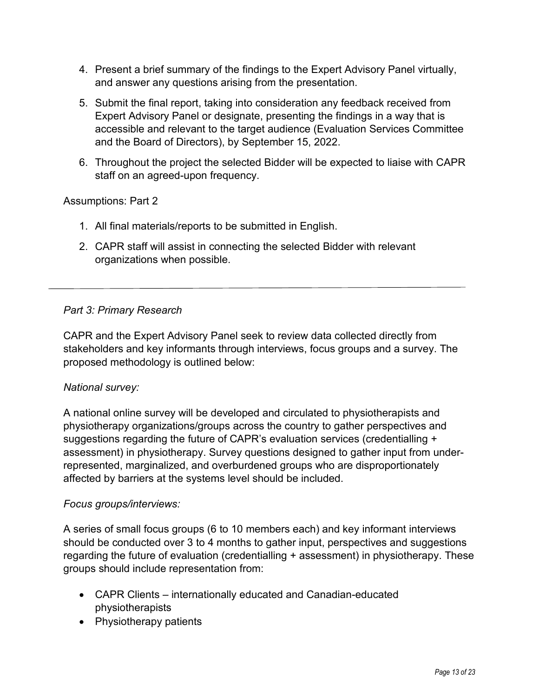- 4. Present a brief summary of the findings to the Expert Advisory Panel virtually, and answer any questions arising from the presentation.
- 5. Submit the final report, taking into consideration any feedback received from Expert Advisory Panel or designate, presenting the findings in a way that is accessible and relevant to the target audience (Evaluation Services Committee and the Board of Directors), by September 15, 2022.
- 6. Throughout the project the selected Bidder will be expected to liaise with CAPR staff on an agreed-upon frequency.

#### Assumptions: Part 2

- 1. All final materials/reports to be submitted in English.
- 2. CAPR staff will assist in connecting the selected Bidder with relevant organizations when possible.

#### *Part 3: Primary Research*

CAPR and the Expert Advisory Panel seek to review data collected directly from stakeholders and key informants through interviews, focus groups and a survey. The proposed methodology is outlined below:

#### *National survey:*

A national online survey will be developed and circulated to physiotherapists and physiotherapy organizations/groups across the country to gather perspectives and suggestions regarding the future of CAPR's evaluation services (credentialling + assessment) in physiotherapy. Survey questions designed to gather input from underrepresented, marginalized, and overburdened groups who are disproportionately affected by barriers at the systems level should be included.

#### *Focus groups/interviews:*

A series of small focus groups (6 to 10 members each) and key informant interviews should be conducted over 3 to 4 months to gather input, perspectives and suggestions regarding the future of evaluation (credentialling + assessment) in physiotherapy. These groups should include representation from:

- CAPR Clients internationally educated and Canadian-educated physiotherapists
- Physiotherapy patients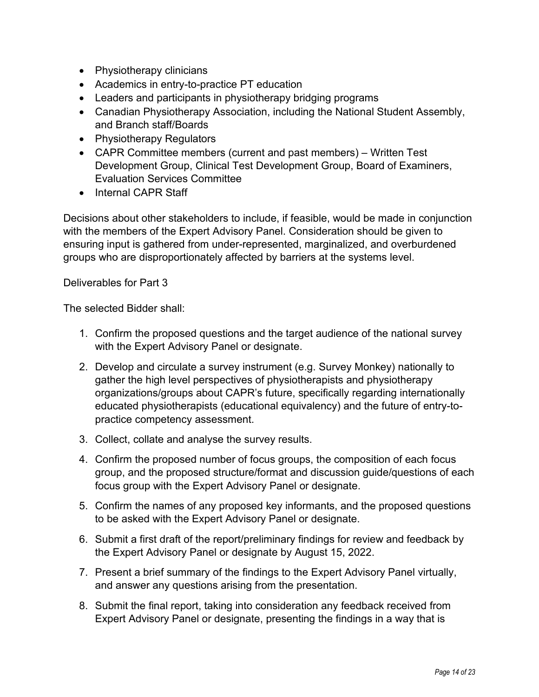- Physiotherapy clinicians
- Academics in entry-to-practice PT education
- Leaders and participants in physiotherapy bridging programs
- Canadian Physiotherapy Association, including the National Student Assembly, and Branch staff/Boards
- Physiotherapy Regulators
- CAPR Committee members (current and past members) Written Test Development Group, Clinical Test Development Group, Board of Examiners, Evaluation Services Committee
- Internal CAPR Staff

Decisions about other stakeholders to include, if feasible, would be made in conjunction with the members of the Expert Advisory Panel. Consideration should be given to ensuring input is gathered from under-represented, marginalized, and overburdened groups who are disproportionately affected by barriers at the systems level.

Deliverables for Part 3

The selected Bidder shall:

- 1. Confirm the proposed questions and the target audience of the national survey with the Expert Advisory Panel or designate.
- 2. Develop and circulate a survey instrument (e.g. Survey Monkey) nationally to gather the high level perspectives of physiotherapists and physiotherapy organizations/groups about CAPR's future, specifically regarding internationally educated physiotherapists (educational equivalency) and the future of entry-topractice competency assessment.
- 3. Collect, collate and analyse the survey results.
- 4. Confirm the proposed number of focus groups, the composition of each focus group, and the proposed structure/format and discussion guide/questions of each focus group with the Expert Advisory Panel or designate.
- 5. Confirm the names of any proposed key informants, and the proposed questions to be asked with the Expert Advisory Panel or designate.
- 6. Submit a first draft of the report/preliminary findings for review and feedback by the Expert Advisory Panel or designate by August 15, 2022.
- 7. Present a brief summary of the findings to the Expert Advisory Panel virtually, and answer any questions arising from the presentation.
- 8. Submit the final report, taking into consideration any feedback received from Expert Advisory Panel or designate, presenting the findings in a way that is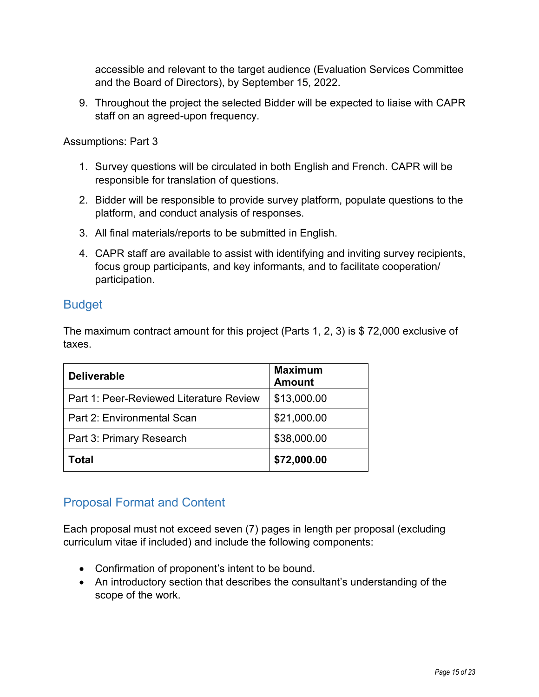accessible and relevant to the target audience (Evaluation Services Committee and the Board of Directors), by September 15, 2022.

9. Throughout the project the selected Bidder will be expected to liaise with CAPR staff on an agreed-upon frequency.

Assumptions: Part 3

- 1. Survey questions will be circulated in both English and French. CAPR will be responsible for translation of questions.
- 2. Bidder will be responsible to provide survey platform, populate questions to the platform, and conduct analysis of responses.
- 3. All final materials/reports to be submitted in English.
- 4. CAPR staff are available to assist with identifying and inviting survey recipients, focus group participants, and key informants, and to facilitate cooperation/ participation.

# <span id="page-14-0"></span>**Budget**

The maximum contract amount for this project (Parts 1, 2, 3) is \$ 72,000 exclusive of taxes.

| <b>Deliverable</b>                      | <b>Maximum</b><br><b>Amount</b> |
|-----------------------------------------|---------------------------------|
| Part 1: Peer-Reviewed Literature Review | \$13,000.00                     |
| Part 2: Environmental Scan              | \$21,000.00                     |
| Part 3: Primary Research                | \$38,000.00                     |
| Total                                   | \$72,000.00                     |

# Proposal Format and Content

Each proposal must not exceed seven (7) pages in length per proposal (excluding curriculum vitae if included) and include the following components:

- Confirmation of proponent's intent to be bound.
- An introductory section that describes the consultant's understanding of the scope of the work.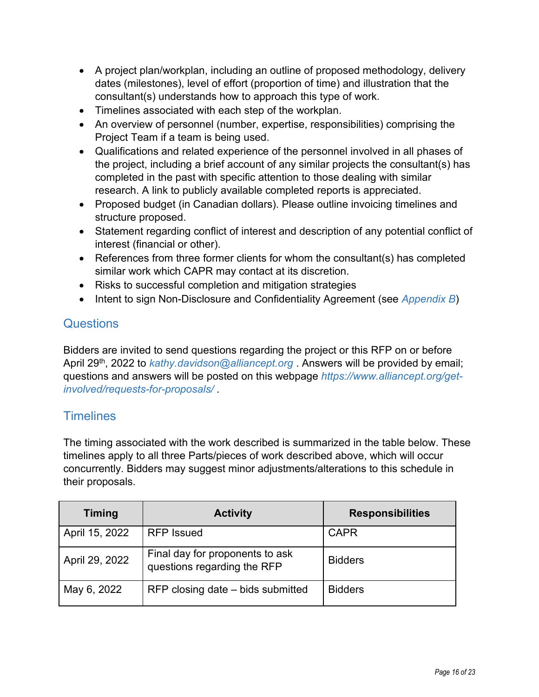- A project plan/workplan, including an outline of proposed methodology, delivery dates (milestones), level of effort (proportion of time) and illustration that the consultant(s) understands how to approach this type of work.
- Timelines associated with each step of the workplan.
- An overview of personnel (number, expertise, responsibilities) comprising the Project Team if a team is being used.
- Qualifications and related experience of the personnel involved in all phases of the project, including a brief account of any similar projects the consultant(s) has completed in the past with specific attention to those dealing with similar research. A link to publicly available completed reports is appreciated.
- Proposed budget (in Canadian dollars). Please outline invoicing timelines and structure proposed.
- Statement regarding conflict of interest and description of any potential conflict of interest (financial or other).
- References from three former clients for whom the consultant(s) has completed similar work which CAPR may contact at its discretion.
- Risks to successful completion and mitigation strategies
- Intent to sign Non-Disclosure and Confidentiality Agreement (see *[Appendix B](#page-20-0)*)

# **Questions**

Bidders are invited to send questions regarding the project or this RFP on or before April 29<sup>th</sup>, 2022 to *[kathy.davidson@alliancept.org](mailto:kathy.davidson@alliancept.org)* . Answers will be provided by email; questions and answers will be posted on this webpage *[https://www.alliancept.org/get](https://www.alliancept.org/get-involved/requests-for-proposals/)[involved/requests-for-proposals/](https://www.alliancept.org/get-involved/requests-for-proposals/)* .

# **Timelines**

The timing associated with the work described is summarized in the table below. These timelines apply to all three Parts/pieces of work described above, which will occur concurrently. Bidders may suggest minor adjustments/alterations to this schedule in their proposals.

| <b>Timing</b>  | <b>Activity</b>                                                | <b>Responsibilities</b> |
|----------------|----------------------------------------------------------------|-------------------------|
| April 15, 2022 | <b>RFP</b> Issued                                              | <b>CAPR</b>             |
| April 29, 2022 | Final day for proponents to ask<br>questions regarding the RFP | <b>Bidders</b>          |
| May 6, 2022    | RFP closing date – bids submitted                              | <b>Bidders</b>          |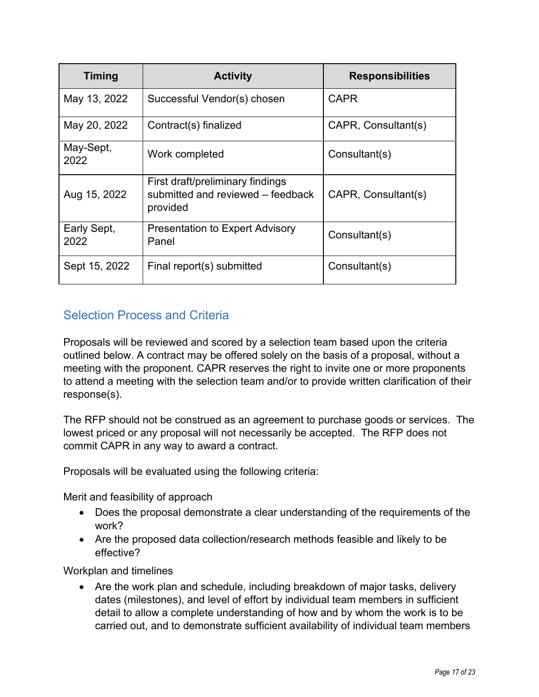| <b>Timing</b>       | <b>Activity</b>                                                                   | <b>Responsibilities</b> |
|---------------------|-----------------------------------------------------------------------------------|-------------------------|
| May 13, 2022        | Successful Vendor(s) chosen                                                       | <b>CAPR</b>             |
| May 20, 2022        | Contract(s) finalized                                                             | CAPR, Consultant(s)     |
| May-Sept,<br>2022   | Work completed                                                                    | Consultant(s)           |
| Aug 15, 2022        | First draft/preliminary findings<br>submitted and reviewed - feedback<br>provided | CAPR, Consultant(s)     |
| Early Sept,<br>2022 | <b>Presentation to Expert Advisory</b><br>Panel                                   | Consultant(s)           |
| Sept 15, 2022       | Final report(s) submitted                                                         | Consultant(s)           |

# Selection Process and Criteria

Proposals will be reviewed and scored by a selection team based upon the criteria outlined below. A contract may be offered solely on the basis of a proposal, without a meeting with the proponent. CAPR reserves the right to invite one or more proponents to attend a meeting with the selection team and/or to provide written clarification of their response(s).

The RFP should not be construed as an agreement to purchase goods or services. The lowest priced or any proposal will not necessarily be accepted. The RFP does not commit CAPR in any way to award a contract.

Proposals will be evaluated using the following criteria:

Merit and feasibility of approach

- Does the proposal demonstrate a clear understanding of the requirements of the work?
- Are the proposed data collection/research methods feasible and likely to be effective?

Workplan and timelines

• Are the work plan and schedule, including breakdown of major tasks, delivery dates (milestones), and level of effort by individual team members in sufficient detail to allow a complete understanding of how and by whom the work is to be carried out, and to demonstrate sufficient availability of individual team members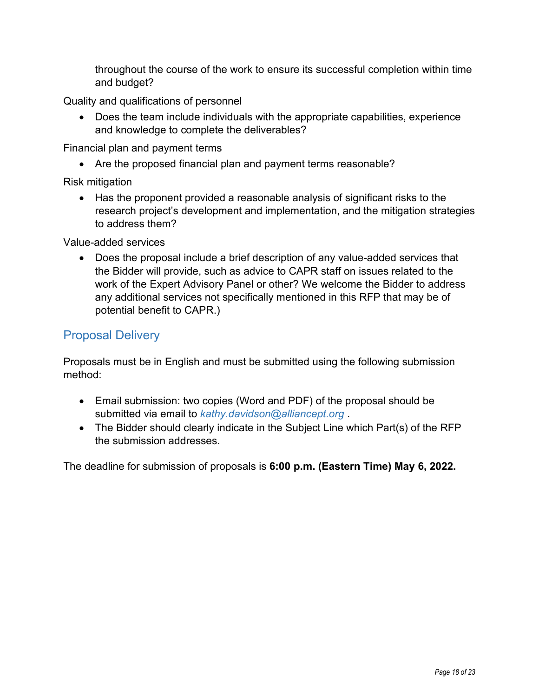throughout the course of the work to ensure its successful completion within time and budget?

Quality and qualifications of personnel

• Does the team include individuals with the appropriate capabilities, experience and knowledge to complete the deliverables?

Financial plan and payment terms

• Are the proposed financial plan and payment terms reasonable?

Risk mitigation

• Has the proponent provided a reasonable analysis of significant risks to the research project's development and implementation, and the mitigation strategies to address them?

Value-added services

• Does the proposal include a brief description of any value-added services that the Bidder will provide, such as advice to CAPR staff on issues related to the work of the Expert Advisory Panel or other? We welcome the Bidder to address any additional services not specifically mentioned in this RFP that may be of potential benefit to CAPR.)

# Proposal Delivery

Proposals must be in English and must be submitted using the following submission method:

- Email submission: two copies (Word and PDF) of the proposal should be submitted via email to *[kathy.davidson@alliancept.org](mailto:kathy.davidson@alliancept.org)* .
- The Bidder should clearly indicate in the Subject Line which Part(s) of the RFP the submission addresses.

The deadline for submission of proposals is **6:00 p.m. (Eastern Time) May 6, 2022.**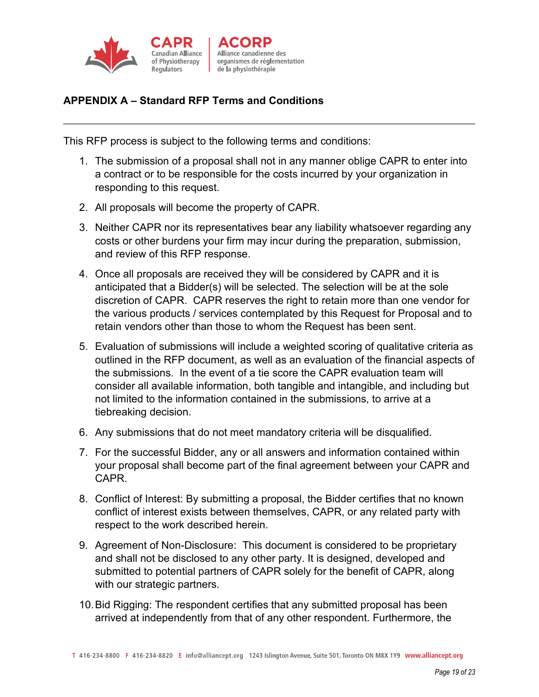

### **APPENDIX A – Standard RFP Terms and Conditions**

This RFP process is subject to the following terms and conditions:

- 1. The submission of a proposal shall not in any manner oblige CAPR to enter into a contract or to be responsible for the costs incurred by your organization in responding to this request.
- 2. All proposals will become the property of CAPR.
- 3. Neither CAPR nor its representatives bear any liability whatsoever regarding any costs or other burdens your firm may incur during the preparation, submission, and review of this RFP response.
- 4. Once all proposals are received they will be considered by CAPR and it is anticipated that a Bidder(s) will be selected. The selection will be at the sole discretion of CAPR. CAPR reserves the right to retain more than one vendor for the various products / services contemplated by this Request for Proposal and to retain vendors other than those to whom the Request has been sent.
- 5. Evaluation of submissions will include a weighted scoring of qualitative criteria as outlined in the RFP document, as well as an evaluation of the financial aspects of the submissions. In the event of a tie score the CAPR evaluation team will consider all available information, both tangible and intangible, and including but not limited to the information contained in the submissions, to arrive at a tiebreaking decision.
- 6. Any submissions that do not meet mandatory criteria will be disqualified.
- 7. For the successful Bidder, any or all answers and information contained within your proposal shall become part of the final agreement between your CAPR and CAPR.
- 8. Conflict of Interest: By submitting a proposal, the Bidder certifies that no known conflict of interest exists between themselves, CAPR, or any related party with respect to the work described herein.
- 9. Agreement of Non-Disclosure: This document is considered to be proprietary and shall not be disclosed to any other party. It is designed, developed and submitted to potential partners of CAPR solely for the benefit of CAPR, along with our strategic partners.
- 10.Bid Rigging: The respondent certifies that any submitted proposal has been arrived at independently from that of any other respondent. Furthermore, the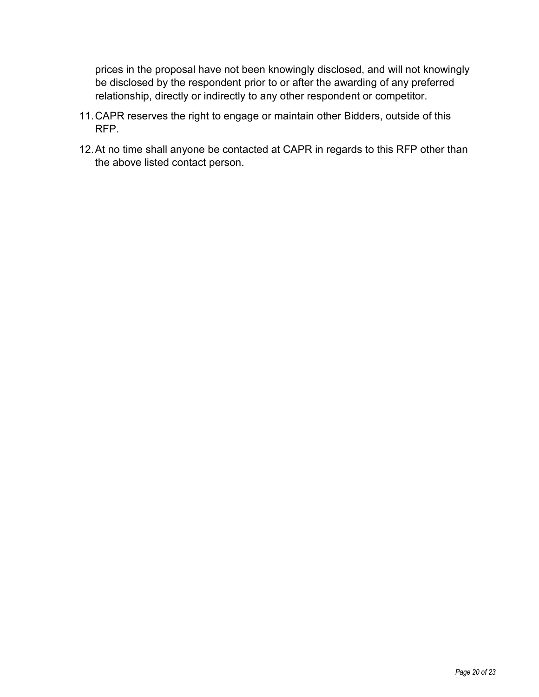prices in the proposal have not been knowingly disclosed, and will not knowingly be disclosed by the respondent prior to or after the awarding of any preferred relationship, directly or indirectly to any other respondent or competitor.

- 11.CAPR reserves the right to engage or maintain other Bidders, outside of this RFP.
- 12.At no time shall anyone be contacted at CAPR in regards to this RFP other than the above listed contact person.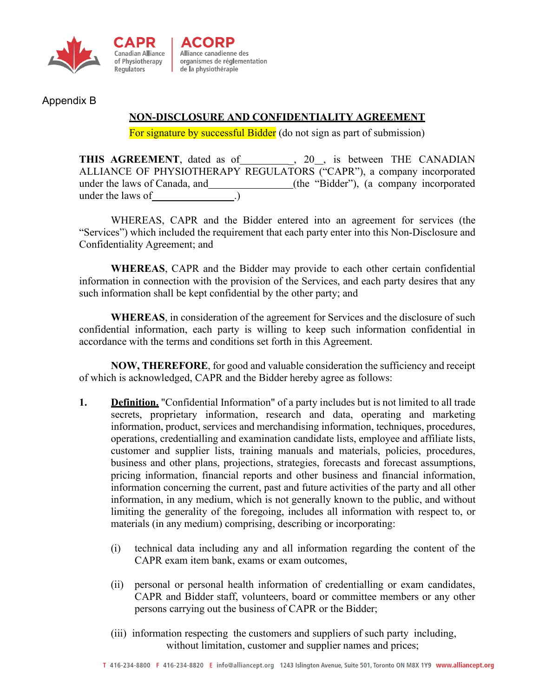



Alliance canadienne des organismes de réglementation organismes de régler<br>de la physiothérapie

<span id="page-20-0"></span>Appendix B

### **NON-DISCLOSURE AND CONFIDENTIALITY AGREEMENT**

For signature by successful Bidder (do not sign as part of submission)

THIS AGREEMENT, dated as of \_\_\_\_\_\_\_\_\_, 20\_\_, is between THE CANADIAN ALLIANCE OF PHYSIOTHERAPY REGULATORS ("CAPR"), a company incorporated under the laws of Canada, and \_\_\_\_\_\_\_\_\_\_\_\_\_\_\_\_(the "Bidder"), (a company incorporated under the laws of .)

WHEREAS, CAPR and the Bidder entered into an agreement for services (the "Services") which included the requirement that each party enter into this Non-Disclosure and Confidentiality Agreement; and

**WHEREAS**, CAPR and the Bidder may provide to each other certain confidential information in connection with the provision of the Services, and each party desires that any such information shall be kept confidential by the other party; and

**WHEREAS**, in consideration of the agreement for Services and the disclosure of such confidential information, each party is willing to keep such information confidential in accordance with the terms and conditions set forth in this Agreement.

**NOW, THEREFORE**, for good and valuable consideration the sufficiency and receipt of which is acknowledged, CAPR and the Bidder hereby agree as follows:

- **1. Definition.** "Confidential Information" of a party includes but is not limited to all trade secrets, proprietary information, research and data, operating and marketing information, product, services and merchandising information, techniques, procedures, operations, credentialling and examination candidate lists, employee and affiliate lists, customer and supplier lists, training manuals and materials, policies, procedures, business and other plans, projections, strategies, forecasts and forecast assumptions, pricing information, financial reports and other business and financial information, information concerning the current, past and future activities of the party and all other information, in any medium, which is not generally known to the public, and without limiting the generality of the foregoing, includes all information with respect to, or materials (in any medium) comprising, describing or incorporating:
	- (i) technical data including any and all information regarding the content of the CAPR exam item bank, exams or exam outcomes,
	- (ii) personal or personal health information of credentialling or exam candidates, CAPR and Bidder staff, volunteers, board or committee members or any other persons carrying out the business of CAPR or the Bidder;
	- (iii) information respecting the customers and suppliers of such party including, without limitation, customer and supplier names and prices;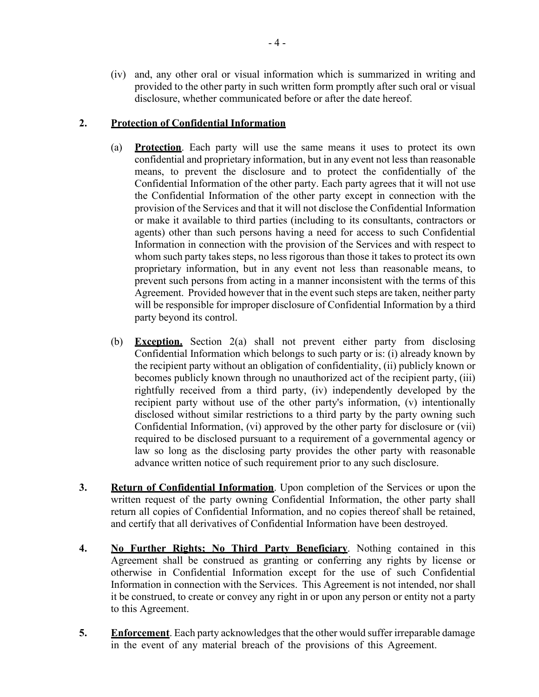(iv) and, any other oral or visual information which is summarized in writing and provided to the other party in such written form promptly after such oral or visual disclosure, whether communicated before or after the date hereof.

#### **2. Protection of Confidential Information**

- (a) **Protection**. Each party will use the same means it uses to protect its own confidential and proprietary information, but in any event not less than reasonable means, to prevent the disclosure and to protect the confidentially of the Confidential Information of the other party. Each party agrees that it will not use the Confidential Information of the other party except in connection with the provision of the Services and that it will not disclose the Confidential Information or make it available to third parties (including to its consultants, contractors or agents) other than such persons having a need for access to such Confidential Information in connection with the provision of the Services and with respect to whom such party takes steps, no less rigorous than those it takes to protect its own proprietary information, but in any event not less than reasonable means, to prevent such persons from acting in a manner inconsistent with the terms of this Agreement. Provided however that in the event such steps are taken, neither party will be responsible for improper disclosure of Confidential Information by a third party beyond its control.
- (b) **Exception.** Section 2(a) shall not prevent either party from disclosing Confidential Information which belongs to such party or is: (i) already known by the recipient party without an obligation of confidentiality, (ii) publicly known or becomes publicly known through no unauthorized act of the recipient party, (iii) rightfully received from a third party, (iv) independently developed by the recipient party without use of the other party's information, (v) intentionally disclosed without similar restrictions to a third party by the party owning such Confidential Information, (vi) approved by the other party for disclosure or (vii) required to be disclosed pursuant to a requirement of a governmental agency or law so long as the disclosing party provides the other party with reasonable advance written notice of such requirement prior to any such disclosure.
- **3. Return of Confidential Information**. Upon completion of the Services or upon the written request of the party owning Confidential Information, the other party shall return all copies of Confidential Information, and no copies thereof shall be retained, and certify that all derivatives of Confidential Information have been destroyed.
- **4. No Further Rights; No Third Party Beneficiary**. Nothing contained in this Agreement shall be construed as granting or conferring any rights by license or otherwise in Confidential Information except for the use of such Confidential Information in connection with the Services. This Agreement is not intended, nor shall it be construed, to create or convey any right in or upon any person or entity not a party to this Agreement.
- **5. Enforcement**. Each party acknowledges that the other would suffer irreparable damage in the event of any material breach of the provisions of this Agreement.